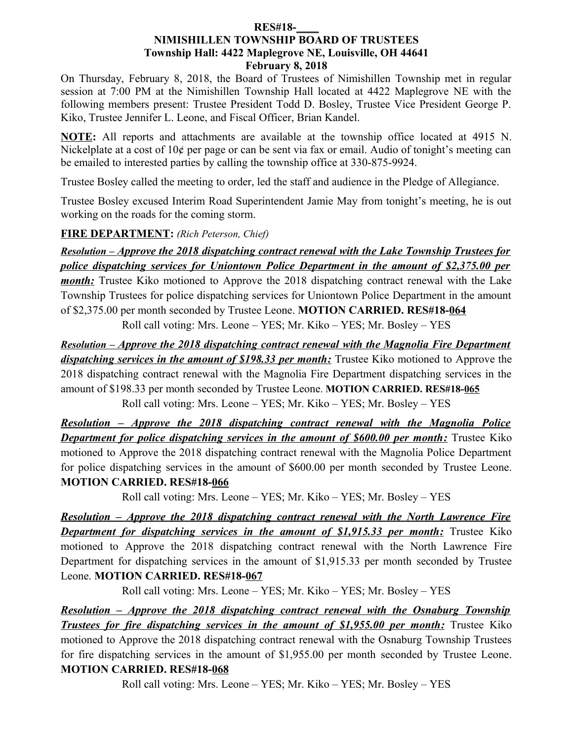#### **RES#18-\_\_\_\_ NIMISHILLEN TOWNSHIP BOARD OF TRUSTEES Township Hall: 4422 Maplegrove NE, Louisville, OH 44641 February 8, 2018**

On Thursday, February 8, 2018, the Board of Trustees of Nimishillen Township met in regular session at 7:00 PM at the Nimishillen Township Hall located at 4422 Maplegrove NE with the following members present: Trustee President Todd D. Bosley, Trustee Vice President George P. Kiko, Trustee Jennifer L. Leone, and Fiscal Officer, Brian Kandel.

**NOTE:** All reports and attachments are available at the township office located at 4915 N. Nickelplate at a cost of 10¢ per page or can be sent via fax or email. Audio of tonight's meeting can be emailed to interested parties by calling the township office at 330-875-9924.

Trustee Bosley called the meeting to order, led the staff and audience in the Pledge of Allegiance.

Trustee Bosley excused Interim Road Superintendent Jamie May from tonight's meeting, he is out working on the roads for the coming storm.

# **FIRE DEPARTMENT:** *(Rich Peterson, Chief)*

 *Resolution – Approve the 2018 dispatching contract renewal with the Lake Township Trustees for police dispatching services for Uniontown Police Department in the amount of \$2,375.00 per month*: Trustee Kiko motioned to Approve the 2018 dispatching contract renewal with the Lake Township Trustees for police dispatching services for Uniontown Police Department in the amount of \$2,375.00 per month seconded by Trustee Leone. **MOTION CARRIED. RES#18-064**

Roll call voting: Mrs. Leone – YES; Mr. Kiko – YES; Mr. Bosley – YES

 *Resolution – Approve the 2018 dispatching contract renewal with the Magnolia Fire Department dispatching services in the amount of \$198.33 per month:* Trustee Kiko motioned to Approve the 2018 dispatching contract renewal with the Magnolia Fire Department dispatching services in the amount of \$198.33 per month seconded by Trustee Leone. **MOTION CARRIED. RES#18-065**

Roll call voting: Mrs. Leone – YES; Mr. Kiko – YES; Mr. Bosley – YES

 *Resolution – Approve the 2018 dispatching contract renewal with the Magnolia Police Department for police dispatching services in the amount of \$600.00 per month:* Trustee Kiko motioned to Approve the 2018 dispatching contract renewal with the Magnolia Police Department for police dispatching services in the amount of \$600.00 per month seconded by Trustee Leone. **MOTION CARRIED. RES#18-066**

Roll call voting: Mrs. Leone – YES; Mr. Kiko – YES; Mr. Bosley – YES

 *Resolution – Approve the 2018 dispatching contract renewal with the North Lawrence Fire Department for dispatching services in the amount of \$1,915.33 per month:* Trustee Kiko motioned to Approve the 2018 dispatching contract renewal with the North Lawrence Fire Department for dispatching services in the amount of \$1,915.33 per month seconded by Trustee Leone. **MOTION CARRIED. RES#18-067**

Roll call voting: Mrs. Leone – YES; Mr. Kiko – YES; Mr. Bosley – YES

 *Resolution – Approve the 2018 dispatching contract renewal with the Osnaburg Township Trustees for fire dispatching services in the amount of \$1,955.00 per month:* Trustee Kiko motioned to Approve the 2018 dispatching contract renewal with the Osnaburg Township Trustees for fire dispatching services in the amount of \$1,955.00 per month seconded by Trustee Leone. **MOTION CARRIED. RES#18-068**

Roll call voting: Mrs. Leone – YES; Mr. Kiko – YES; Mr. Bosley – YES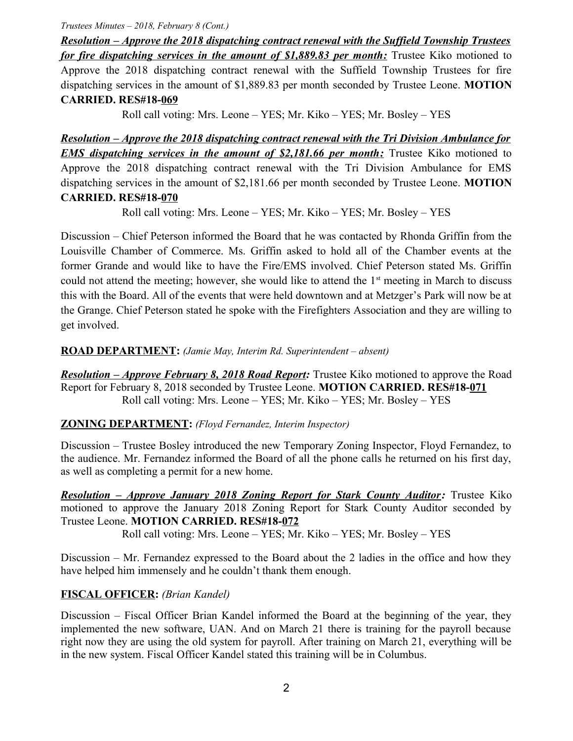*Trustees Minutes – 2018, February 8 (Cont.)*

 *Resolution – Approve the 2018 dispatching contract renewal with the Suffield Township Trustees for fire dispatching services in the amount of \$1,889.83 per month:* Trustee Kiko motioned to Approve the 2018 dispatching contract renewal with the Suffield Township Trustees for fire dispatching services in the amount of \$1,889.83 per month seconded by Trustee Leone. **MOTION CARRIED. RES#18-069**

Roll call voting: Mrs. Leone – YES; Mr. Kiko – YES; Mr. Bosley – YES

 *Resolution – Approve the 2018 dispatching contract renewal with the Tri Division Ambulance for EMS dispatching services in the amount of \$2,181.66 per month:* Trustee Kiko motioned to Approve the 2018 dispatching contract renewal with the Tri Division Ambulance for EMS dispatching services in the amount of \$2,181.66 per month seconded by Trustee Leone. **MOTION CARRIED. RES#18-070**

Roll call voting: Mrs. Leone – YES; Mr. Kiko – YES; Mr. Bosley – YES

Discussion – Chief Peterson informed the Board that he was contacted by Rhonda Griffin from the Louisville Chamber of Commerce. Ms. Griffin asked to hold all of the Chamber events at the former Grande and would like to have the Fire/EMS involved. Chief Peterson stated Ms. Griffin could not attend the meeting; however, she would like to attend the  $1<sup>st</sup>$  meeting in March to discuss this with the Board. All of the events that were held downtown and at Metzger's Park will now be at the Grange. Chief Peterson stated he spoke with the Firefighters Association and they are willing to get involved.

**ROAD DEPARTMENT:** *(Jamie May, Interim Rd. Superintendent – absent)*

*Resolution – Approve February 8, 2018 Road Report:* Trustee Kiko motioned to approve the Road Report for February 8, 2018 seconded by Trustee Leone. **MOTION CARRIED. RES#18-071** Roll call voting: Mrs. Leone – YES; Mr. Kiko – YES; Mr. Bosley – YES

## **ZONING DEPARTMENT:** *(Floyd Fernandez, Interim Inspector)*

Discussion – Trustee Bosley introduced the new Temporary Zoning Inspector, Floyd Fernandez, to the audience. Mr. Fernandez informed the Board of all the phone calls he returned on his first day, as well as completing a permit for a new home.

*Resolution – Approve January 2018 Zoning Report for Stark County Auditor:* Trustee Kiko motioned to approve the January 2018 Zoning Report for Stark County Auditor seconded by Trustee Leone. **MOTION CARRIED. RES#18-072**

Roll call voting: Mrs. Leone – YES; Mr. Kiko – YES; Mr. Bosley – YES

Discussion – Mr. Fernandez expressed to the Board about the 2 ladies in the office and how they have helped him immensely and he couldn't thank them enough.

## **FISCAL OFFICER:** *(Brian Kandel)*

Discussion – Fiscal Officer Brian Kandel informed the Board at the beginning of the year, they implemented the new software, UAN. And on March 21 there is training for the payroll because right now they are using the old system for payroll. After training on March 21, everything will be in the new system. Fiscal Officer Kandel stated this training will be in Columbus.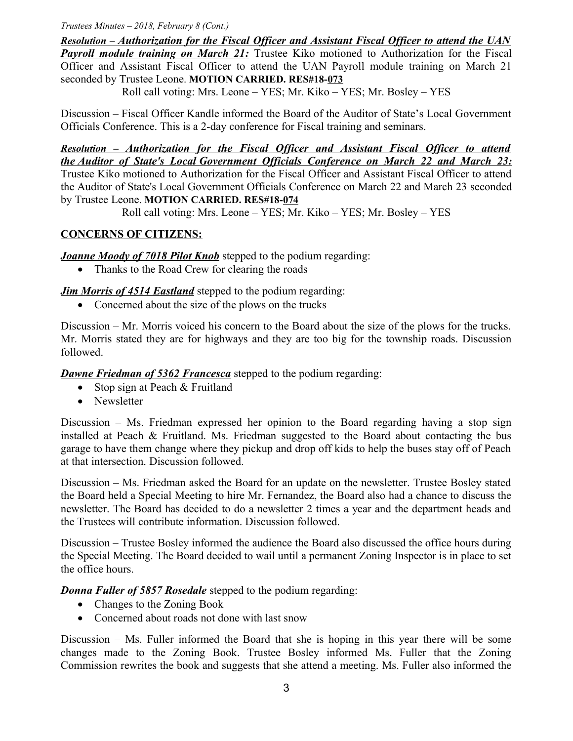#### *Trustees Minutes – 2018, February 8 (Cont.)*

 *Resolution – Authorization for the Fiscal Officer and Assistant Fiscal Officer to attend the UAN* **Payroll module training on March 21:** Trustee Kiko motioned to Authorization for the Fiscal Officer and Assistant Fiscal Officer to attend the UAN Payroll module training on March 21 seconded by Trustee Leone. **MOTION CARRIED. RES#18-073**

Roll call voting: Mrs. Leone – YES; Mr. Kiko – YES; Mr. Bosley – YES

Discussion – Fiscal Officer Kandle informed the Board of the Auditor of State's Local Government Officials Conference. This is a 2-day conference for Fiscal training and seminars.

 *Resolution – Authorization for the Fiscal Officer and Assistant Fiscal Officer to attend the Auditor of State's Local Government Officials Conference on March 22 and March 23:* Trustee Kiko motioned to Authorization for the Fiscal Officer and Assistant Fiscal Officer to attend the Auditor of State's Local Government Officials Conference on March 22 and March 23 seconded by Trustee Leone. **MOTION CARRIED. RES#18-074**

Roll call voting: Mrs. Leone – YES; Mr. Kiko – YES; Mr. Bosley – YES

## **CONCERNS OF CITIZENS:**

*Joanne Moody of 7018 Pilot Knob* stepped to the podium regarding:

• Thanks to the Road Crew for clearing the roads

*Jim Morris of 4514 Eastland* stepped to the podium regarding:

• Concerned about the size of the plows on the trucks

Discussion – Mr. Morris voiced his concern to the Board about the size of the plows for the trucks. Mr. Morris stated they are for highways and they are too big for the township roads. Discussion followed.

*Dawne Friedman of 5362 Francesca* stepped to the podium regarding:

- Stop sign at Peach  $&$  Fruitland
- Newsletter

Discussion – Ms. Friedman expressed her opinion to the Board regarding having a stop sign installed at Peach & Fruitland. Ms. Friedman suggested to the Board about contacting the bus garage to have them change where they pickup and drop off kids to help the buses stay off of Peach at that intersection. Discussion followed.

Discussion – Ms. Friedman asked the Board for an update on the newsletter. Trustee Bosley stated the Board held a Special Meeting to hire Mr. Fernandez, the Board also had a chance to discuss the newsletter. The Board has decided to do a newsletter 2 times a year and the department heads and the Trustees will contribute information. Discussion followed.

Discussion – Trustee Bosley informed the audience the Board also discussed the office hours during the Special Meeting. The Board decided to wail until a permanent Zoning Inspector is in place to set the office hours.

*Donna Fuller of 5857 Rosedale* stepped to the podium regarding:

- Changes to the Zoning Book
- Concerned about roads not done with last snow

Discussion – Ms. Fuller informed the Board that she is hoping in this year there will be some changes made to the Zoning Book. Trustee Bosley informed Ms. Fuller that the Zoning Commission rewrites the book and suggests that she attend a meeting. Ms. Fuller also informed the